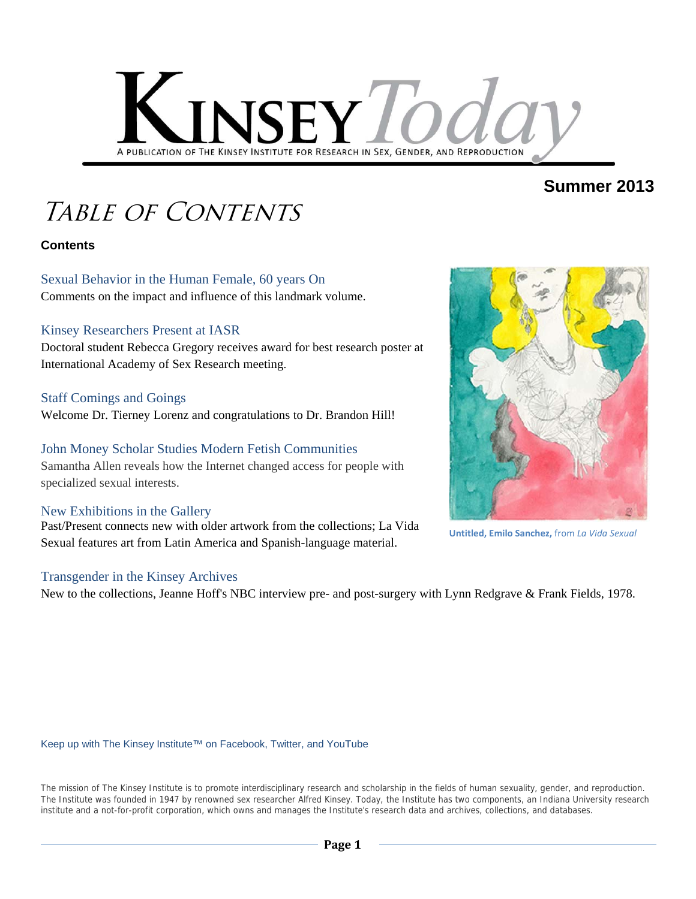

## **Summer 2013**

# Table of Contents

### **Contents**

Sexual Behavior in the Human Female, 60 years On Comments on the impact and influence of this landmark volume.

#### Kinsey Researchers Present at IASR

Doctoral student Rebecca Gregory receives award for best research poster at International Academy of Sex Research meeting.

#### Staff Comings and Goings

Welcome Dr. Tierney Lorenz and congratulations to Dr. Brandon Hill!

### John Money Scholar Studies Modern Fetish Communities

Samantha Allen reveals how the Internet changed access for people with specialized sexual interests.

#### New Exhibitions in the Gallery

Past/Present connects new with older artwork from the collections; La Vida Sexual features art from Latin America and Spanish-language material.

#### Transgender in the Kinsey Archives

New to the collections, Jeanne Hoff's NBC interview pre- and post-surgery with Lynn Redgrave & Frank Fields, 1978.

Keep up with The Kinsey Institute™ on Facebook, Twitter, and YouTube

The mission of The Kinsey Institute is to promote interdisciplinary research and scholarship in the fields of human sexuality, gender, and reproduction. The Institute was founded in 1947 by renowned sex researcher Alfred Kinsey. Today, the Institute has two components, an Indiana University research institute and a not-for-profit corporation, which owns and manages the Institute's research data and archives, collections, and databases.



**Untitled, Emilo Sanchez,** from *La Vida Sexual*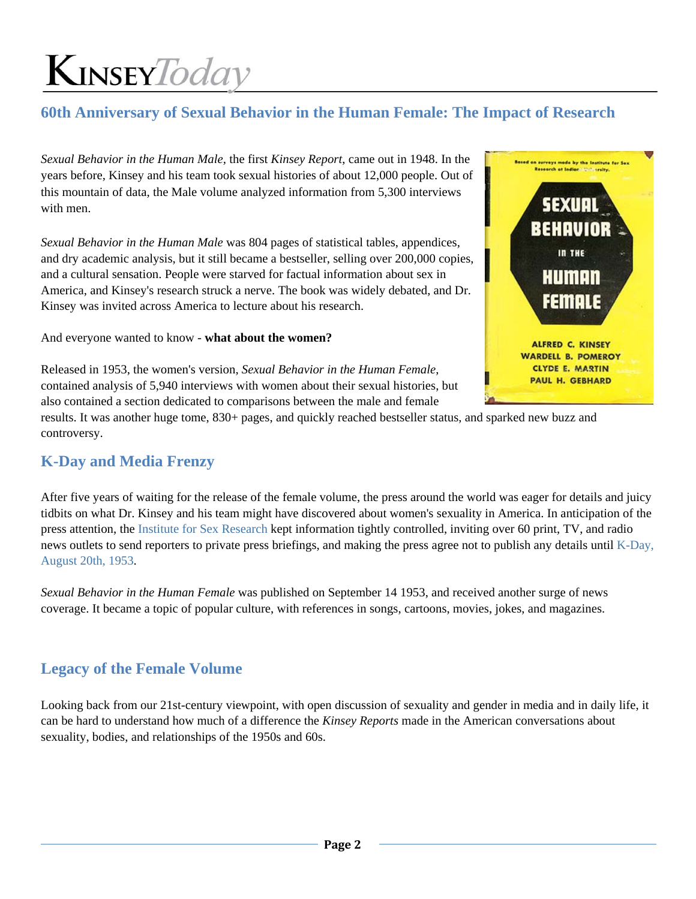### **60th Anniversary of Sexual Behavior in the Human Female: The Impact of Research**

*Sexual Behavior in the Human Male,* the first *Kinsey Report*, came out in 1948. In the years before, Kinsey and his team took sexual histories of about 12,000 people. Out of this mountain of data, the Male volume analyzed information from 5,300 interviews with men.

*Sexual Behavior in the Human Male* was 804 pages of statistical tables, appendices, and dry academic analysis, but it still became a bestseller, selling over 200,000 copies, and a cultural sensation. People were starved for factual information about sex in America, and Kinsey's research struck a nerve. The book was widely debated, and Dr. Kinsey was invited across America to lecture about his research.

And everyone wanted to know - **what about the women?**



Released in 1953, the women's version, *Sexual Behavior in the Human Female*, contained analysis of 5,940 interviews with women about their sexual histories, but also contained a section dedicated to comparisons between the male and female

results. It was another huge tome, 830+ pages, and quickly reached bestseller status, and sparked new buzz and controversy.

### **K-Day and Media Frenzy**

After five years of waiting for the release of the female volume, the press around the world was eager for details and juicy tidbits on what Dr. Kinsey and his team might have discovered about women's sexuality in America. In anticipation of the press attention, the Institute for Sex Research kept information tightly controlled, inviting over 60 print, TV, and radio news outlets to send reporters to private press briefings, and making the press agree not to publish any details until K-Day, August 20th, 1953.

*Sexual Behavior in the Human Female* was published on September 14 1953, and received another surge of news coverage. It became a topic of popular culture, with references in songs, cartoons, movies, jokes, and magazines.

### **Legacy of the Female Volume**

Looking back from our 21st-century viewpoint, with open discussion of sexuality and gender in media and in daily life, it can be hard to understand how much of a difference the *Kinsey Reports* made in the American conversations about sexuality, bodies, and relationships of the 1950s and 60s.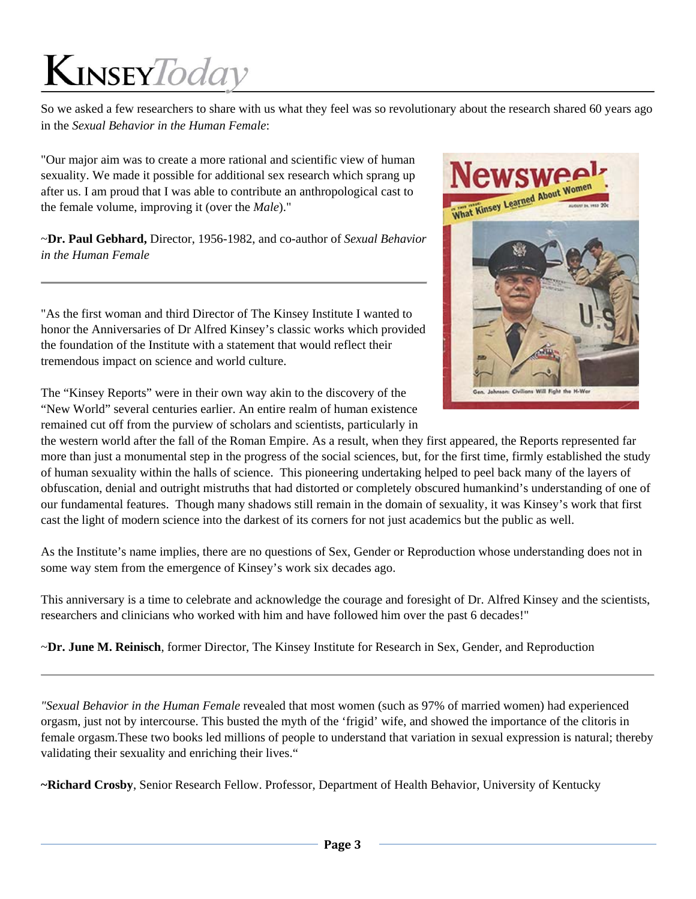So we asked a few researchers to share with us what they feel was so revolutionary about the research shared 60 years ago in the *Sexual Behavior in the Human Female*:

"Our major aim was to create a more rational and scientific view of human sexuality. We made it possible for additional sex research which sprang up after us. I am proud that I was able to contribute an anthropological cast to the female volume, improving it (over the *Male*)."

~**Dr. Paul Gebhard,** Director, 1956-1982, and co-author of *Sexual Behavior in the Human Female*

"As the first woman and third Director of The Kinsey Institute I wanted to honor the Anniversaries of Dr Alfred Kinsey's classic works which provided the foundation of the Institute with a statement that would reflect their tremendous impact on science and world culture.

The "Kinsey Reports" were in their own way akin to the discovery of the "New World" several centuries earlier. An entire realm of human existence remained cut off from the purview of scholars and scientists, particularly in



the western world after the fall of the Roman Empire. As a result, when they first appeared, the Reports represented far more than just a monumental step in the progress of the social sciences, but, for the first time, firmly established the study of human sexuality within the halls of science. This pioneering undertaking helped to peel back many of the layers of obfuscation, denial and outright mistruths that had distorted or completely obscured humankind's understanding of one of our fundamental features. Though many shadows still remain in the domain of sexuality, it was Kinsey's work that first cast the light of modern science into the darkest of its corners for not just academics but the public as well.

As the Institute's name implies, there are no questions of Sex, Gender or Reproduction whose understanding does not in some way stem from the emergence of Kinsey's work six decades ago.

This anniversary is a time to celebrate and acknowledge the courage and foresight of Dr. Alfred Kinsey and the scientists, researchers and clinicians who worked with him and have followed him over the past 6 decades!"

~**Dr. June M. Reinisch**, former Director, The Kinsey Institute for Research in Sex, Gender, and Reproduction

*"Sexual Behavior in the Human Female* revealed that most women (such as 97% of married women) had experienced orgasm, just not by intercourse. This busted the myth of the 'frigid' wife, and showed the importance of the clitoris in female orgasm.These two books led millions of people to understand that variation in sexual expression is natural; thereby validating their sexuality and enriching their lives."

**~Richard Crosby**, Senior Research Fellow. Professor, Department of Health Behavior, University of Kentucky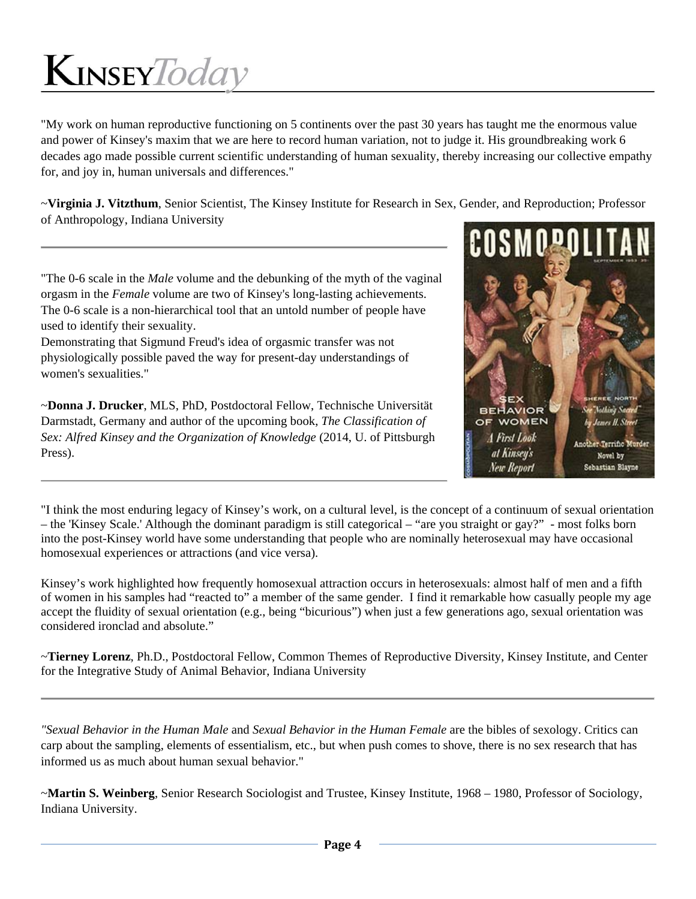"My work on human reproductive functioning on 5 continents over the past 30 years has taught me the enormous value and power of Kinsey's maxim that we are here to record human variation, not to judge it. His groundbreaking work 6 decades ago made possible current scientific understanding of human sexuality, thereby increasing our collective empathy for, and joy in, human universals and differences."

~**Virginia J. Vitzthum**, Senior Scientist, The Kinsey Institute for Research in Sex, Gender, and Reproduction; Professor of Anthropology, Indiana University

"The 0-6 scale in the *Male* volume and the debunking of the myth of the vaginal orgasm in the *Female* volume are two of Kinsey's long-lasting achievements. The 0-6 scale is a non-hierarchical tool that an untold number of people have used to identify their sexuality.

Demonstrating that Sigmund Freud's idea of orgasmic transfer was not physiologically possible paved the way for present-day understandings of women's sexualities."

~**Donna J. Drucker**, MLS, PhD, Postdoctoral Fellow, Technische Universität Darmstadt, Germany and author of the upcoming book, *The Classification of Sex: Alfred Kinsey and the Organization of Knowledge* (2014, U. of Pittsburgh Press).



"I think the most enduring legacy of Kinsey's work, on a cultural level, is the concept of a continuum of sexual orientation – the 'Kinsey Scale.' Although the dominant paradigm is still categorical – "are you straight or gay?" - most folks born into the post-Kinsey world have some understanding that people who are nominally heterosexual may have occasional homosexual experiences or attractions (and vice versa).

Kinsey's work highlighted how frequently homosexual attraction occurs in heterosexuals: almost half of men and a fifth of women in his samples had "reacted to" a member of the same gender. I find it remarkable how casually people my age accept the fluidity of sexual orientation (e.g., being "bicurious") when just a few generations ago, sexual orientation was considered ironclad and absolute."

~**Tierney Lorenz**, Ph.D., Postdoctoral Fellow, Common Themes of Reproductive Diversity, Kinsey Institute, and Center for the Integrative Study of Animal Behavior, Indiana University

*"Sexual Behavior in the Human Male* and *Sexual Behavior in the Human Female* are the bibles of sexology. Critics can carp about the sampling, elements of essentialism, etc., but when push comes to shove, there is no sex research that has informed us as much about human sexual behavior."

~**Martin S. Weinberg**, Senior Research Sociologist and Trustee, Kinsey Institute, 1968 – 1980, Professor of Sociology, Indiana University.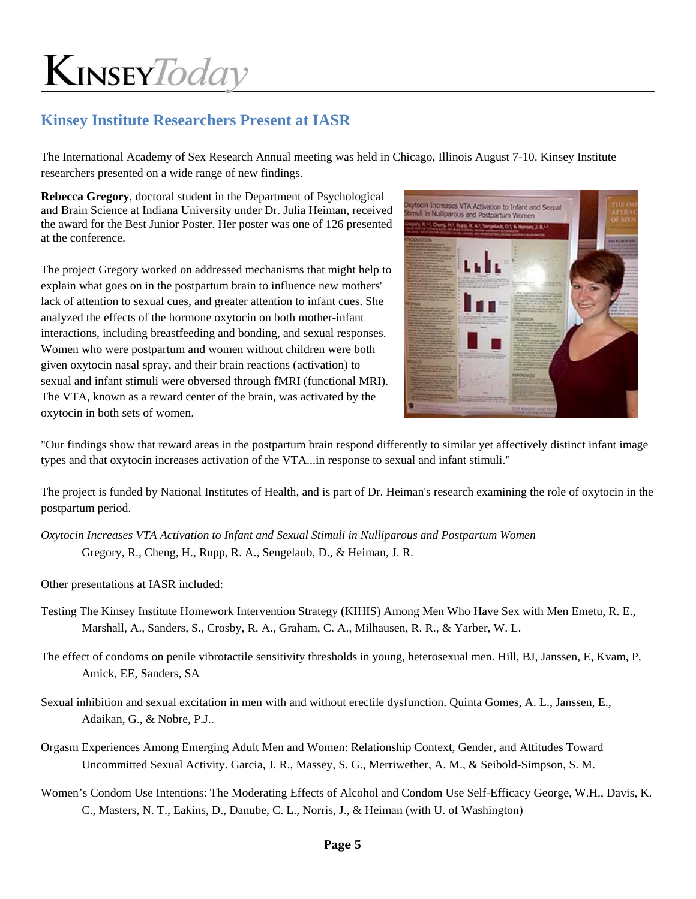### **Kinsey Institute Researchers Present at IASR**

The International Academy of Sex Research Annual meeting was held in Chicago, Illinois August 7-10. Kinsey Institute researchers presented on a wide range of new findings.

**Rebecca Gregory**, doctoral student in the Department of Psychological and Brain Science at Indiana University under Dr. Julia Heiman, received the award for the Best Junior Poster. Her poster was one of 126 presented at the conference.

The project Gregory worked on addressed mechanisms that might help to explain what goes on in the postpartum brain to influence new mothers' lack of attention to sexual cues, and greater attention to infant cues. She analyzed the effects of the hormone oxytocin on both mother-infant interactions, including breastfeeding and bonding, and sexual responses. Women who were postpartum and women without children were both given oxytocin nasal spray, and their brain reactions (activation) to sexual and infant stimuli were obversed through fMRI (functional MRI). The VTA, known as a reward center of the brain, was activated by the oxytocin in both sets of women.



"Our findings show that reward areas in the postpartum brain respond differently to similar yet affectively distinct infant image types and that oxytocin increases activation of the VTA...in response to sexual and infant stimuli."

The project is funded by National Institutes of Health, and is part of Dr. Heiman's research examining the role of oxytocin in the postpartum period.

*Oxytocin Increases VTA Activation to Infant and Sexual Stimuli in Nulliparous and Postpartum Women* Gregory, R., Cheng, H., Rupp, R. A., Sengelaub, D., & Heiman, J. R.

Other presentations at IASR included:

- Testing The Kinsey Institute Homework Intervention Strategy (KIHIS) Among Men Who Have Sex with Men Emetu, R. E., Marshall, A., Sanders, S., Crosby, R. A., Graham, C. A., Milhausen, R. R., & Yarber, W. L.
- The effect of condoms on penile vibrotactile sensitivity thresholds in young, heterosexual men. Hill, BJ, Janssen, E, Kvam, P, Amick, EE, Sanders, SA

Sexual inhibition and sexual excitation in men with and without erectile dysfunction. Quinta Gomes, A. L., Janssen, E., Adaikan, G., & Nobre, P.J..

- Orgasm Experiences Among Emerging Adult Men and Women: Relationship Context, Gender, and Attitudes Toward Uncommitted Sexual Activity. Garcia, J. R., Massey, S. G., Merriwether, A. M., & Seibold-Simpson, S. M.
- Women's Condom Use Intentions: The Moderating Effects of Alcohol and Condom Use Self-Efficacy George, W.H., Davis, K. C., Masters, N. T., Eakins, D., Danube, C. L., Norris, J., & Heiman (with U. of Washington)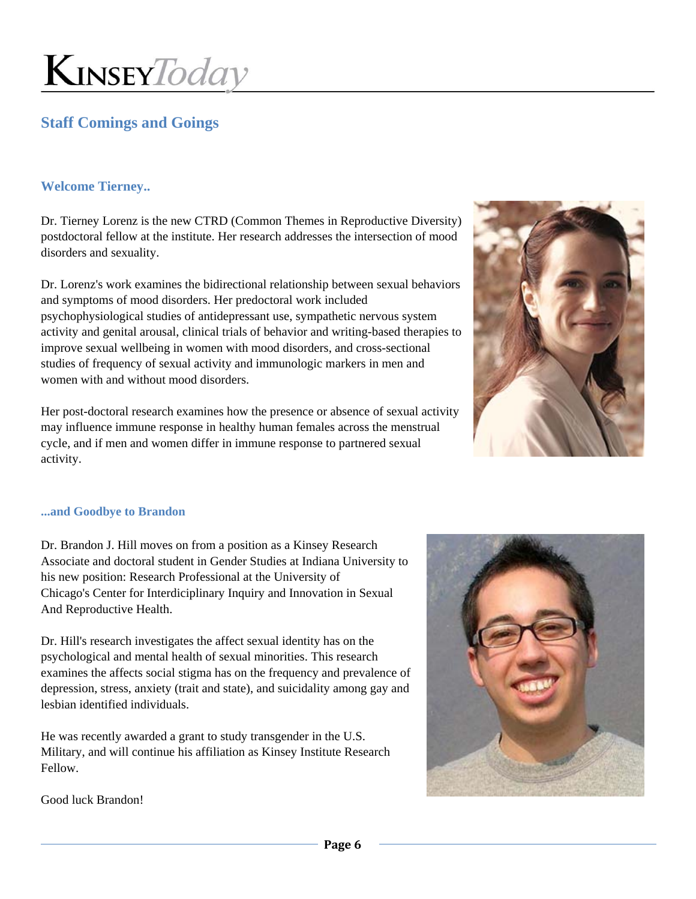### **Staff Comings and Goings**

### **Welcome Tierney..**

Dr. Tierney Lorenz is the new CTRD (Common Themes in Reproductive Diversity) postdoctoral fellow at the institute. Her research addresses the intersection of mood disorders and sexuality.

Dr. Lorenz's work examines the bidirectional relationship between sexual behaviors and symptoms of mood disorders. Her predoctoral work included psychophysiological studies of antidepressant use, sympathetic nervous system activity and genital arousal, clinical trials of behavior and writing-based therapies to improve sexual wellbeing in women with mood disorders, and cross-sectional studies of frequency of sexual activity and immunologic markers in men and women with and without mood disorders.

Her post-doctoral research examines how the presence or absence of sexual activity may influence immune response in healthy human females across the menstrual cycle, and if men and women differ in immune response to partnered sexual activity.



#### **...and Goodbye to Brandon**

Dr. Brandon J. Hill moves on from a position as a Kinsey Research Associate and doctoral student in Gender Studies at Indiana University to his new position: Research Professional at the University of Chicago's Center for Interdiciplinary Inquiry and Innovation in Sexual And Reproductive Health.

Dr. Hill's research investigates the affect sexual identity has on the psychological and mental health of sexual minorities. This research examines the affects social stigma has on the frequency and prevalence of depression, stress, anxiety (trait and state), and suicidality among gay and lesbian identified individuals.

He was recently awarded a grant to study transgender in the U.S. Military, and will continue his affiliation as Kinsey Institute Research Fellow.



Good luck Brandon!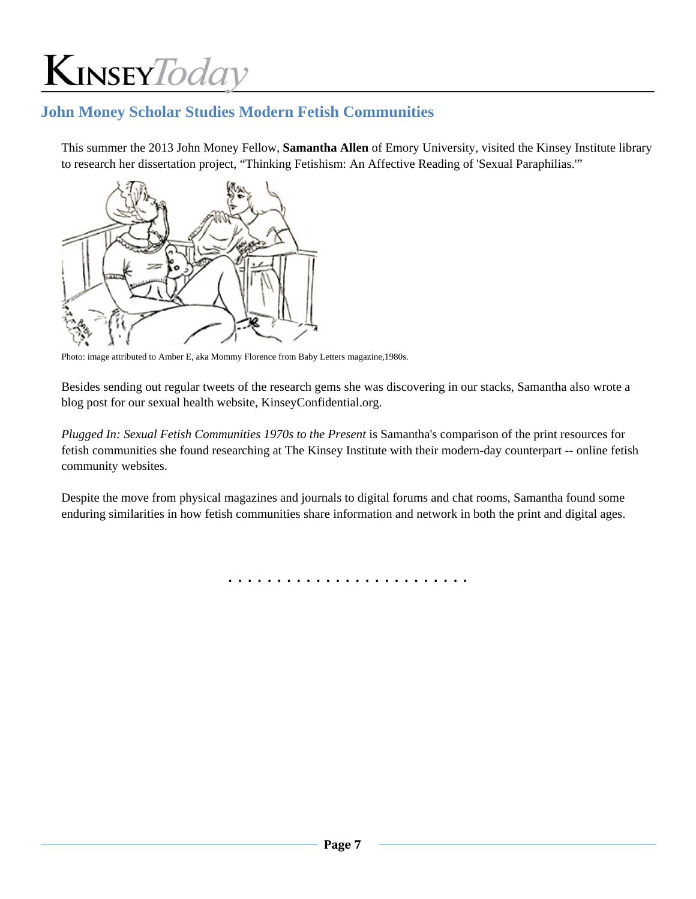### **John Money Scholar Studies Modern Fetish Communities**

This summer the 2013 John Money Fellow, **Samantha Allen** of Emory University, visited the Kinsey Institute library to research her dissertation project, "Thinking Fetishism: An Affective Reading of 'Sexual Paraphilias.'"



Photo: image attributed to Amber E, aka Mommy Florence from Baby Letters magazine,1980s.

Besides sending out regular tweets of the research gems she was discovering in our stacks, Samantha also wrote a blog post for our sexual health website, KinseyConfidential.org.

*Plugged In: Sexual Fetish Communities 1970s to the Present* is Samantha's comparison of the print resources for fetish communities she found researching at The Kinsey Institute with their modern-day counterpart -- online fetish community websites.

Despite the move from physical magazines and journals to digital forums and chat rooms, Samantha found some enduring similarities in how fetish communities share information and network in both the print and digital ages.

. . . . . . . . . . . . . . . . . . . . . . . . .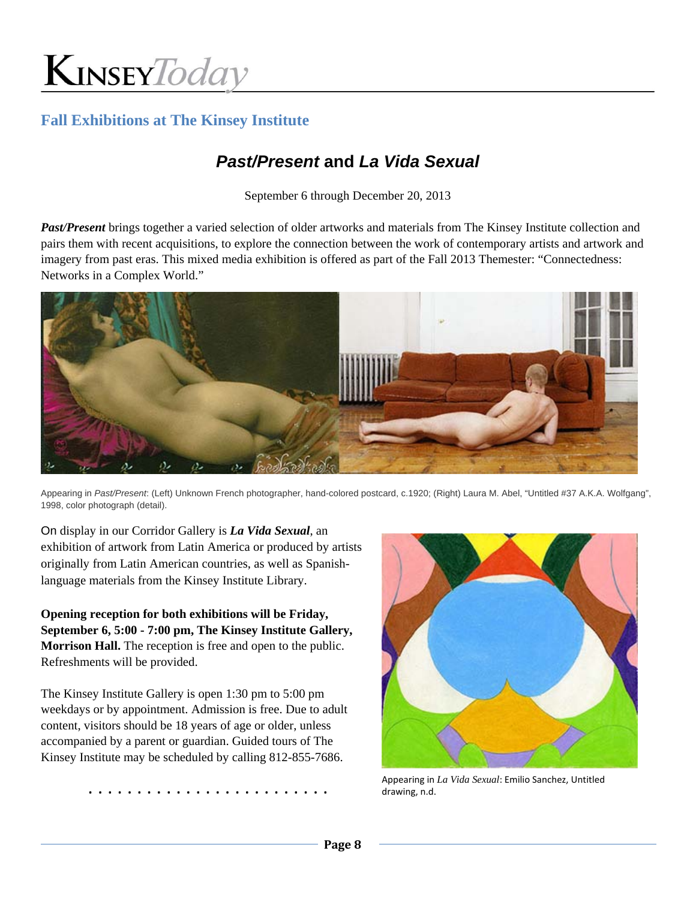

### **Fall Exhibitions at The Kinsey Institute**

# *Past/Present* **and** *La Vida Sexual*

September 6 through December 20, 2013

*Past/Present* brings together a varied selection of older artworks and materials from The Kinsey Institute collection and pairs them with recent acquisitions, to explore the connection between the work of contemporary artists and artwork and imagery from past eras. This mixed media exhibition is offered as part of the Fall 2013 Themester: "Connectedness: Networks in a Complex World."



Appearing in *Past/Present*: (Left) Unknown French photographer, hand-colored postcard, c.1920; (Right) Laura M. Abel, "Untitled #37 A.K.A. Wolfgang", 1998, color photograph (detail).

On display in our Corridor Gallery is *La Vida Sexual*, an exhibition of artwork from Latin America or produced by artists originally from Latin American countries, as well as Spanishlanguage materials from the Kinsey Institute Library.

**Opening reception for both exhibitions will be Friday, September 6, 5:00 - 7:00 pm, The Kinsey Institute Gallery, Morrison Hall.** The reception is free and open to the public. Refreshments will be provided.

The Kinsey Institute Gallery is open 1:30 pm to 5:00 pm weekdays or by appointment. Admission is free. Due to adult content, visitors should be 18 years of age or older, unless accompanied by a parent or guardian. Guided tours of The Kinsey Institute may be scheduled by calling 812-855-7686.

Appearing in *La Vida Sexual*: Emilio Sanchez, Untitled<br>Arawing n d drawing, n.d.